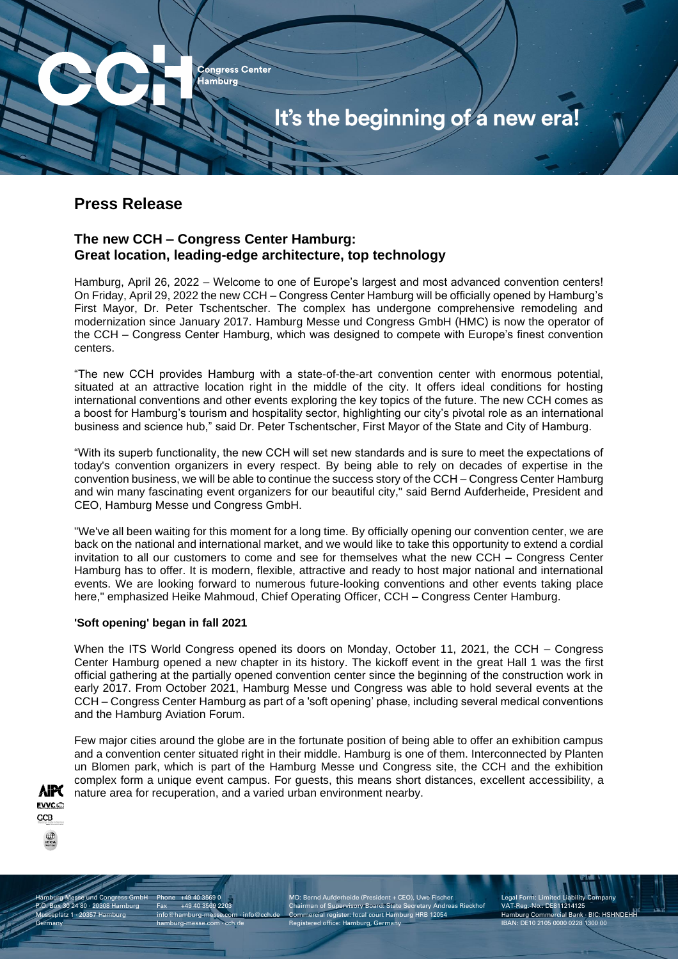

# **Press Release**

## **The new CCH – Congress Center Hamburg: Great location, leading-edge architecture, top technology**

Hamburg, April 26, 2022 – Welcome to one of Europe's largest and most advanced convention centers! On Friday, April 29, 2022 the new CCH – Congress Center Hamburg will be officially opened by Hamburg's First Mayor, Dr. Peter Tschentscher. The complex has undergone comprehensive remodeling and modernization since January 2017. Hamburg Messe und Congress GmbH (HMC) is now the operator of the CCH – Congress Center Hamburg, which was designed to compete with Europe's finest convention centers.

"The new CCH provides Hamburg with a state-of-the-art convention center with enormous potential, situated at an attractive location right in the middle of the city. It offers ideal conditions for hosting international conventions and other events exploring the key topics of the future. The new CCH comes as a boost for Hamburg's tourism and hospitality sector, highlighting our city's pivotal role as an international business and science hub," said Dr. Peter Tschentscher, First Mayor of the State and City of Hamburg.

"With its superb functionality, the new CCH will set new standards and is sure to meet the expectations of today's convention organizers in every respect. By being able to rely on decades of expertise in the convention business, we will be able to continue the success story of the CCH – Congress Center Hamburg and win many fascinating event organizers for our beautiful city," said Bernd Aufderheide, President and CEO, Hamburg Messe und Congress GmbH.

"We've all been waiting for this moment for a long time. By officially opening our convention center, we are back on the national and international market, and we would like to take this opportunity to extend a cordial invitation to all our customers to come and see for themselves what the new CCH – Congress Center Hamburg has to offer. It is modern, flexible, attractive and ready to host major national and international events. We are looking forward to numerous future-looking conventions and other events taking place here," emphasized Heike Mahmoud, Chief Operating Officer, CCH – Congress Center Hamburg.

### **'Soft opening' began in fall 2021**

When the ITS World Congress opened its doors on Monday, October 11, 2021, the CCH – Congress Center Hamburg opened a new chapter in its history. The kickoff event in the great Hall 1 was the first official gathering at the partially opened convention center since the beginning of the construction work in early 2017. From October 2021, Hamburg Messe und Congress was able to hold several events at the CCH – Congress Center Hamburg as part of a 'soft opening' phase, including several medical conventions and the Hamburg Aviation Forum.

Few major cities around the globe are in the fortunate position of being able to offer an exhibition campus and a convention center situated right in their middle. Hamburg is one of them. Interconnected by Planten un Blomen park, which is part of the Hamburg Messe und Congress site, the CCH and the exhibition complex form a unique event campus. For guests, this means short distances, excellent accessibility, a nature area for recuperation, and a varied urban environment nearby.



nburg Messe und Congress GmbH P.O. Box 30 24 80 · 20308 Hamburg Messeplatz 1 · 20357 Hamburg **Germany** 

Phone +49 40 3569 0 Fax +49 40 3569 2203 info@hamburg-messe.com · in hamburg-messe.com · cch.de

MD: Bernd Aufderheide (President + CEO), Uwe Fischer Chairman of Supervisory Board: State Secretary Andreas Rieckhof Commercial register: local court Hamburg HRB 12054 stered office: Hamburg, Germany

Legal Form: Limited Lial VAT-Reg.-No.: DE811214125 Hamburg Commercial Bank · BIC: HSHNDEHH IBAN: DE10 2105 0000 0228 1300 00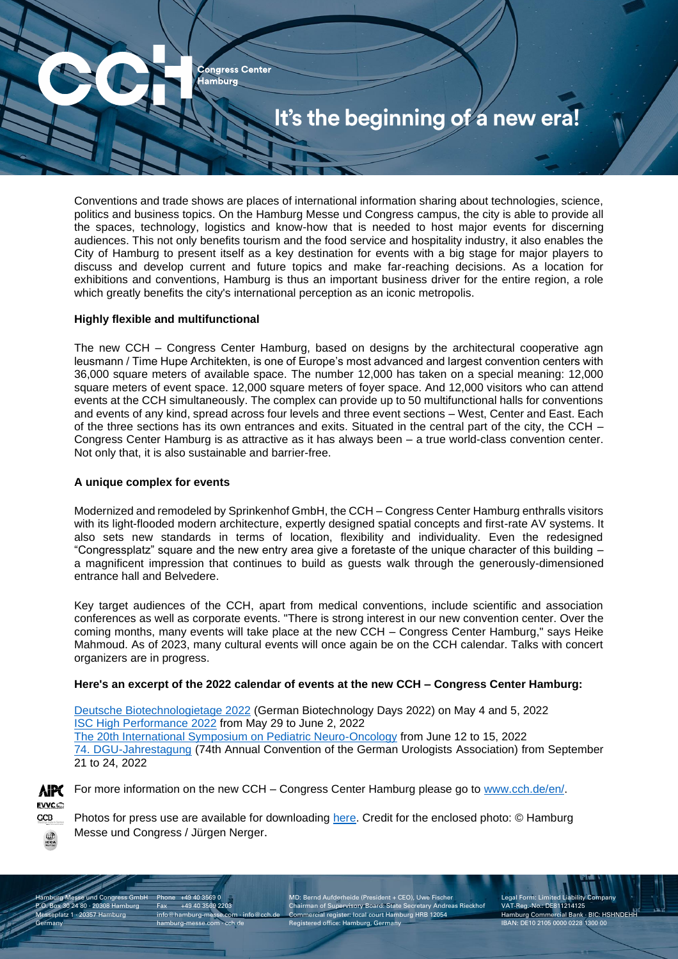

Conventions and trade shows are places of international information sharing about technologies, science, politics and business topics. On the Hamburg Messe und Congress campus, the city is able to provide all the spaces, technology, logistics and know-how that is needed to host major events for discerning audiences. This not only benefits tourism and the food service and hospitality industry, it also enables the City of Hamburg to present itself as a key destination for events with a big stage for major players to discuss and develop current and future topics and make far-reaching decisions. As a location for exhibitions and conventions, Hamburg is thus an important business driver for the entire region, a role which greatly benefits the city's international perception as an iconic metropolis.

#### **Highly flexible and multifunctional**

The new CCH – Congress Center Hamburg, based on designs by the architectural cooperative agn leusmann / Time Hupe Architekten, is one of Europe's most advanced and largest convention centers with 36,000 square meters of available space. The number 12,000 has taken on a special meaning: 12,000 square meters of event space. 12,000 square meters of foyer space. And 12,000 visitors who can attend events at the CCH simultaneously. The complex can provide up to 50 multifunctional halls for conventions and events of any kind, spread across four levels and three event sections – West, Center and East. Each of the three sections has its own entrances and exits. Situated in the central part of the city, the CCH – Congress Center Hamburg is as attractive as it has always been – a true world-class convention center. Not only that, it is also sustainable and barrier-free.

#### **A unique complex for events**

Modernized and remodeled by Sprinkenhof GmbH, the CCH – Congress Center Hamburg enthralls visitors with its light-flooded modern architecture, expertly designed spatial concepts and first-rate AV systems. It also sets new standards in terms of location, flexibility and individuality. Even the redesigned "Congressplatz" square and the new entry area give a foretaste of the unique character of this building – a magnificent impression that continues to build as guests walk through the generously-dimensioned entrance hall and Belvedere.

Key target audiences of the CCH, apart from medical conventions, include scientific and association conferences as well as corporate events. "There is strong interest in our new convention center. Over the coming months, many events will take place at the new CCH – Congress Center Hamburg," says Heike Mahmoud. As of 2023, many cultural events will once again be on the CCH calendar. Talks with concert organizers are in progress.

#### **Here's an excerpt of the 2022 calendar of events at the new CCH – Congress Center Hamburg:**

[Deutsche Biotechnologietage 2022](https://www.biotechnologietage.de/en/) (German Biotechnology Days 2022) on May 4 and 5, 2022 [ISC High Performance 2022](https://www.isc-hpc.com/) from May 29 to June 2, 2022 [The 20th International Symposium on Pediatric Neuro-Oncology](https://www.ispno2022.de/) from June 12 to 15, 2022 [74. DGU-Jahrestagung](https://www.urologenportal.de/pressebereich/pressemitteilungen/aktuell/weltweit-drittgroesster-urologie-kongress-erstmals-im-neuen-cch-74-dgu-jahrestagung-im-september-2022-zu-gast-in-hamburg-15032022.html) (74th Annual Convention of the German Urologists Association) from September 21 to 24, 2022



 $rac{1}{\sqrt{100}}$ 

For more information on the new CCH – Congress Center Hamburg please go to [www.cch.de/](http://www.cch.de/en)en/.

Photos for press use are available for downloading [here.](https://media.hamburg-messe.de/hmc/#/categories) Credit for the enclosed photo: © Hamburg Messe und Congress / Jürgen Nerger.

nburg Messe und Congress GmbH P.O. Box 30 24 80 · 20308 Hamburg Messeplatz 1 · 20357 Hamburg **Germany** 

Phone +49 40 3569 0 Fax +49 40 3569 2203  $info@hamburg-messe.com \cdot in$ hamburg-messe.com · cch.de

MD: Bernd Aufderheide (President + CEO), Uwe Fischer Chairman of Supervisory Board: State Secretary Andreas Rieckhof Commercial register: local court Hamburg HRB 12054 Registered office: Hamburg, Germany

Legal Form: Limited Lial VAT-Reg.-No.: DE811214125 Hamburg Commercial Bank · BIC: HSHNDEHH IBAN: DE10 2105 0000 0228 1300 00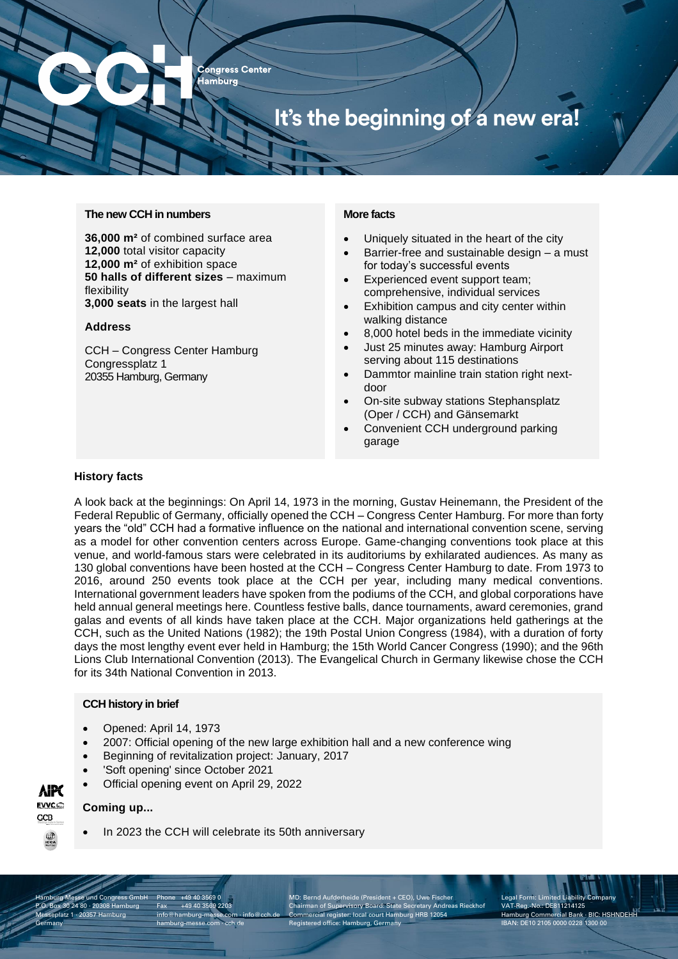**Congress Center Hamburg** It's the beginning of a new era!

#### **The new CCH in numbers**

**36,000 m²** of combined surface area **12,000** total visitor capacity **12,000 m²** of exhibition space **50 halls of different sizes** – maximum flexibility **3,000 seats** in the largest hall

#### **Address**

CCH – Congress Center Hamburg Congressplatz 1 20355 Hamburg, Germany

#### **More facts**

- Uniquely situated in the heart of the city
- Barrier-free and sustainable design a must for today's successful events
- Experienced event support team; comprehensive, individual services
- Exhibition campus and city center within walking distance
- 8,000 hotel beds in the immediate vicinity
- Just 25 minutes away: Hamburg Airport serving about 115 destinations
- Dammtor mainline train station right nextdoor
- On-site subway stations Stephansplatz (Oper / CCH) and Gänsemarkt
- Convenient CCH underground parking garage

#### **History facts**

A look back at the beginnings: On April 14, 1973 in the morning, Gustav Heinemann, the President of the Federal Republic of Germany, officially opened the CCH – Congress Center Hamburg. For more than forty years the "old" CCH had a formative influence on the national and international convention scene, serving as a model for other convention centers across Europe. Game-changing conventions took place at this venue, and world-famous stars were celebrated in its auditoriums by exhilarated audiences. As many as 130 global conventions have been hosted at the CCH – Congress Center Hamburg to date. From 1973 to 2016, around 250 events took place at the CCH per year, including many medical conventions. International government leaders have spoken from the podiums of the CCH, and global corporations have held annual general meetings here. Countless festive balls, dance tournaments, award ceremonies, grand galas and events of all kinds have taken place at the CCH. Major organizations held gatherings at the CCH, such as the United Nations (1982); the 19th Postal Union Congress (1984), with a duration of forty days the most lengthy event ever held in Hamburg; the 15th World Cancer Congress (1990); and the 96th Lions Club International Convention (2013). The Evangelical Church in Germany likewise chose the CCH for its 34th National Convention in 2013.

#### **CCH history in brief**

- Opened: April 14, 1973
- 2007: Official opening of the new large exhibition hall and a new conference wing
- Beginning of revitalization project: January, 2017
- 'Soft opening' since October 2021
- Official opening event on April 29, 2022

### **Coming up...**

In 2023 the CCH will celebrate its 50th anniversary

nburg Messe und Congress GmbH P.O. Box 30 24 80 · 20308 Hamburg Messeplatz 1 · 20357 Hamburg **Germany** 

Phone +49 40 3569 0 Fax +49 40 3569 2203  $info@hamburg-messe.com·ir$ hamburg-messe.com · cch.de

MD: Bernd Aufderheide (President + CEO), Uwe Fischer Chairman of Supervisory Board: State Secretary Andreas Rieckhof Commercial register: local court Hamburg HRB 12054 istered office: Hamburg, Germany

Legal Form: Limited Liab VAT-Reg.-No.: DE811214125 Hamburg Commercial Bank · BIC: HSHNDEHH IBAN: DE10 2105 0000 0228 1300 00